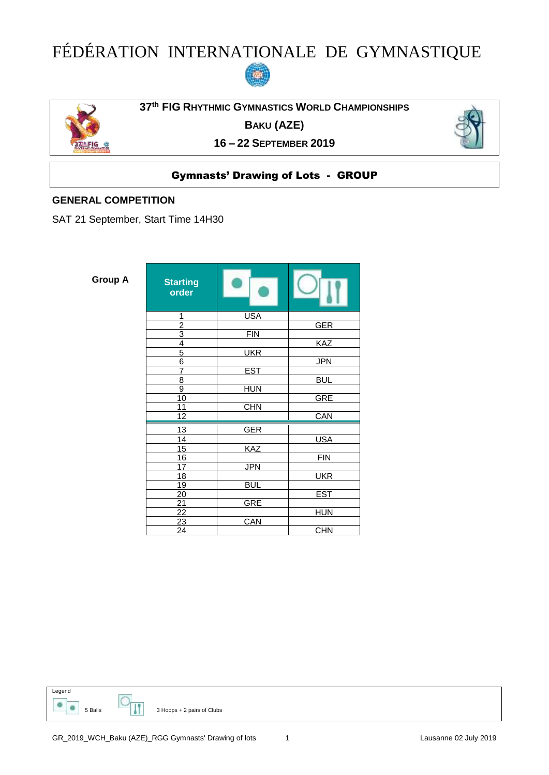# FÉDÉRATION INTERNATIONALE DE GYMNASTIQUE





**th FIG RHYTHMIC GYMNASTICS WORLD CHAMPIONSHIPS**

**BAKU (AZE)**

**– 22 SEPTEMBER 2019**



## Gymnasts' Drawing of Lots - GROUP

#### **GENERAL COMPETITION**

SAT 21 September, Start Time 14H30

| <b>Group A</b> |  |
|----------------|--|
|----------------|--|

| Group A | <b>Starting</b><br>order           |            |            |
|---------|------------------------------------|------------|------------|
|         | 1                                  | <b>USA</b> |            |
|         | $\overline{2}$                     |            | <b>GER</b> |
|         | $\overline{3}$                     | <b>FIN</b> |            |
|         | $\overline{4}$                     |            | <b>KAZ</b> |
|         | $\overline{5}$                     | <b>UKR</b> |            |
|         | $\overline{6}$                     |            | <b>JPN</b> |
|         | $\overline{7}$                     | <b>EST</b> |            |
|         | 8                                  |            | <b>BUL</b> |
|         | $\overline{9}$                     | <b>HUN</b> |            |
|         | 10                                 |            | <b>GRE</b> |
|         | 11                                 | <b>CHN</b> |            |
|         | 12                                 |            | CAN        |
|         | 13                                 | <b>GER</b> |            |
|         | 14                                 |            | <b>USA</b> |
|         | $\overline{15}$                    | KAZ        |            |
|         | 16                                 |            | <b>FIN</b> |
|         | $\overline{17}$                    | <b>JPN</b> |            |
|         | 18                                 |            | <b>UKR</b> |
|         | 19                                 | <b>BUL</b> |            |
|         | 20                                 |            | <b>EST</b> |
|         | $\frac{21}{22}$<br>$\frac{22}{23}$ | <b>GRE</b> |            |
|         |                                    |            | <b>HUN</b> |
|         |                                    | CAN        |            |
|         | 24                                 |            | <b>CHN</b> |

Legend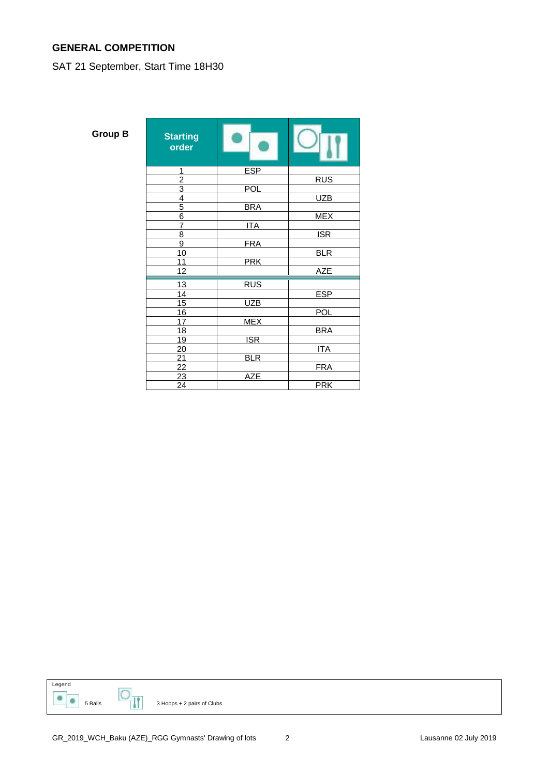## **GENERAL COMPETITION**

## SAT 21 September, Start Time 18H30

| rour |  |  |
|------|--|--|
|      |  |  |

| Group B | <b>Starting</b><br>order |            |            |
|---------|--------------------------|------------|------------|
|         | 1                        | <b>ESP</b> |            |
|         | $\overline{2}$           |            | <b>RUS</b> |
|         | $\overline{3}$           | <b>POL</b> |            |
|         | $\overline{4}$           |            | <b>UZB</b> |
|         | $\overline{5}$           | <b>BRA</b> |            |
|         | $\overline{6}$           |            | <b>MEX</b> |
|         | $\overline{7}$           | <b>ITA</b> |            |
|         | 8                        |            | <b>ISR</b> |
|         | $\overline{9}$           | <b>FRA</b> |            |
|         | 10                       |            | <b>BLR</b> |
|         | 11                       | <b>PRK</b> |            |
|         | 12                       |            | <b>AZE</b> |
|         | 13                       | <b>RUS</b> |            |
|         | 14                       |            | <b>ESP</b> |
|         | 15                       | <b>UZB</b> |            |
|         | 16                       |            | <b>POL</b> |
|         | 17                       | <b>MEX</b> |            |
|         | 18                       |            | <b>BRA</b> |
|         | 19                       | <b>ISR</b> |            |
|         | 20                       |            | <b>ITA</b> |
|         | $\overline{21}$          | <b>BLR</b> |            |
|         | $\overline{22}$          |            | <b>FRA</b> |
|         | $\overline{23}$          | <b>AZE</b> |            |
|         | 24                       |            | <b>PRK</b> |
|         |                          |            |            |